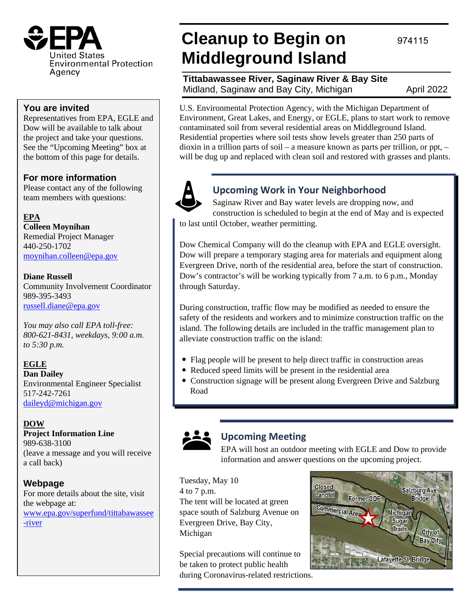

### **You are invited**

Representatives from EPA, EGLE and Dow will be available to talk about the project and take your questions. See the "Upcoming Meeting" box at the bottom of this page for details.

### **For more information**

Please contact any of the following team members with questions:

**EPA Colleen Moynihan**  Remedial Project Manager 440-250-1702 [moynihan.colleen@epa.gov](mailto:moynihan.colleen@epa.gov)

#### **Diane Russell**

Community Involvement Coordinator 989-395-3493 [russell.diane@epa.gov](mailto:russell.diane@epa.gov)

*You may also call EPA toll-free: 800-621-8431, weekdays, 9:00 a.m. to 5:30 p.m.*

**EGLE Dan Dailey** Environmental Engineer Specialist 517-242-7261 [daileyd@michigan.gov](mailto:daileyd@michigan.gov)

### **DOW**

**Project Information Line** 989-638-3100 (leave a message and you will receive a call back)

### **Webpage**

For more details about the site, visit the webpage at: [www.epa.gov/superfund/tittabawassee](http://www.epa.gov/superfund/tittabawassee-river) [-river](http://www.epa.gov/superfund/tittabawassee-river)

# **Cleanup to Begin on Middleground Island**

**Tittabawassee River, Saginaw River & Bay Site** Midland, Saginaw and Bay City, Michigan April 2022

974115

U.S. Environmental Protection Agency, with the Michigan Department of Environment, Great Lakes, and Energy, or EGLE, plans to start work to remove contaminated soil from several residential areas on Middleground Island. Residential properties where soil tests show levels greater than 250 parts of dioxin in a trillion parts of soil – a measure known as parts per trillion, or ppt, – will be dug up and replaced with clean soil and restored with grasses and plants.



## **Upcoming Work in Your Neighborhood**

Saginaw River and Bay water levels are dropping now, and construction is scheduled to begin at the end of May and is expected to last until October, weather permitting.

Dow Chemical Company will do the cleanup with EPA and EGLE oversight. Dow will prepare a temporary staging area for materials and equipment along Evergreen Drive, north of the residential area, before the start of construction. Dow's contractor's will be working typically from 7 a.m. to 6 p.m., Monday through Saturday.

During construction, traffic flow may be modified as needed to ensure the safety of the residents and workers and to minimize construction traffic on the island. The following details are included in the traffic management plan to alleviate construction traffic on the island:

- Flag people will be present to help direct traffic in construction areas
- Reduced speed limits will be present in the residential area
- Construction signage will be present along Evergreen Drive and Salzburg Road



## **Upcoming Meeting**

EPA will host an outdoor meeting with EGLE and Dow to provide information and answer questions on the upcoming project.

Tuesday, May 10 4 to 7 p.m. The tent will be located at green space south of Salzburg Avenue on Evergreen Drive, Bay City, Michigan

Special precautions will continue to be taken to protect public health during Coronavirus-related restrictions.